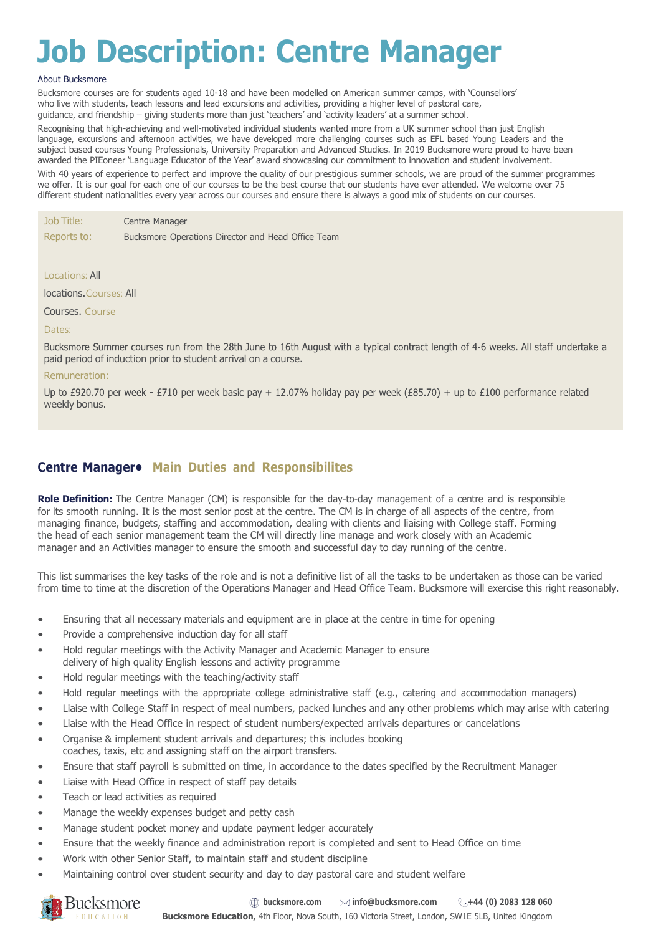# **Job Description: Centre Manager**

#### About Bucksmore

Bucksmore courses are for students aged 10-18 and have been modelled on American summer camps, with 'Counsellors' who live with students, teach lessons and lead excursions and activities, providing a higher level of pastoral care, guidance, and friendship – giving students more than just 'teachers' and 'activity leaders' at a summer school.

Recognising that high-achieving and well-motivated individual students wanted more from a UK summer school than just English language, excursions and afternoon activities, we have developed more challenging courses such as EFL based Young Leaders and the subject based courses Young Professionals, University Preparation and Advanced Studies. In 2019 Bucksmore were proud to have been awarded the PIEoneer 'Language Educator of the Year' award showcasing our commitment to innovation and student involvement. With 40 years of experience to perfect and improve the quality of our prestigious summer schools, we are proud of the summer programmes we offer. It is our goal for each one of our courses to be the best course that our students have ever attended. We welcome over 75

different student nationalities every year across our courses and ensure there is always a good mix of students on our courses.

| Job Title:  | Centre Manager                                     |
|-------------|----------------------------------------------------|
| Reports to: | Bucksmore Operations Director and Head Office Team |

Locations: All

locations.Courses: All

Courses. Course

#### Dates:

Bucksmore Summer courses run from the 28th June to 16th August with a typical contract length of 4-6 weeks. All staff undertake a paid period of induction prior to student arrival on a course.

#### Remuneration:

Up to £920.70 per week - £710 per week basic pay + 12.07% holiday pay per week (£85.70) + up to £100 performance related weekly bonus.

## **Centre Manager• Main Duties and Responsibilites**

**Role Definition:** The Centre Manager (CM) is responsible for the day-to-day management of a centre and is responsible for its smooth running. It is the most senior post at the centre. The CM is in charge of all aspects of the centre, from managing finance, budgets, staffing and accommodation, dealing with clients and liaising with College staff. Forming the head of each senior management team the CM will directly line manage and work closely with an Academic manager and an Activities manager to ensure the smooth and successful day to day running of the centre.

This list summarises the key tasks of the role and is not a definitive list of all the tasks to be undertaken as those can be varied from time to time at the discretion of the Operations Manager and Head Office Team. Bucksmore will exercise this right reasonably.

- Ensuring that all necessary materials and equipment are in place at the centre in time for opening
- Provide a comprehensive induction day for all staff
- Hold regular meetings with the Activity Manager and Academic Manager to ensure delivery of high quality English lessons and activity programme
- Hold regular meetings with the teaching/activity staff
- Hold regular meetings with the appropriate college administrative staff (e.g., catering and accommodation managers)
- Liaise with College Staff in respect of meal numbers, packed lunches and any other problems which may arise with catering
- Liaise with the Head Office in respect of student numbers/expected arrivals departures or cancelations
- Organise & implement student arrivals and departures; this includes booking coaches, taxis, etc and assigning staff on the airport transfers.
- Ensure that staff payroll is submitted on time, in accordance to the dates specified by the Recruitment Manager
- Liaise with Head Office in respect of staff pay details
- Teach or lead activities as required
- Manage the weekly expenses budget and petty cash
- Manage student pocket money and update payment ledger accurately
- Ensure that the weekly finance and administration report is completed and sent to Head Office on time
- Work with other Senior Staff, to maintain staff and student discipline
- Maintaining control over student security and day to day pastoral care and student welfare

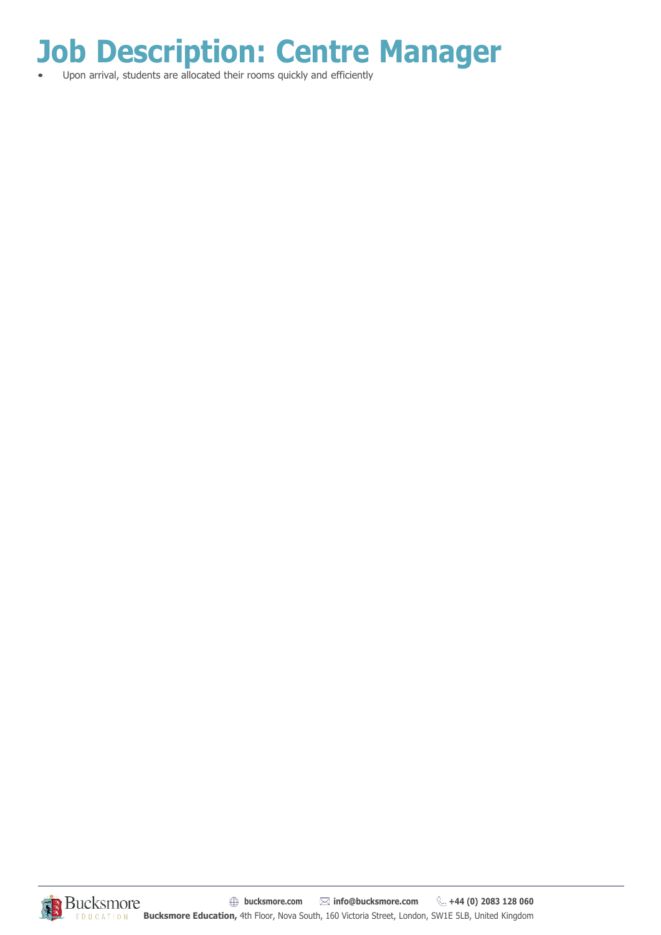**Job Description: Centre Manager**

• Upon arrival, students are allocated their rooms quickly and efficiently

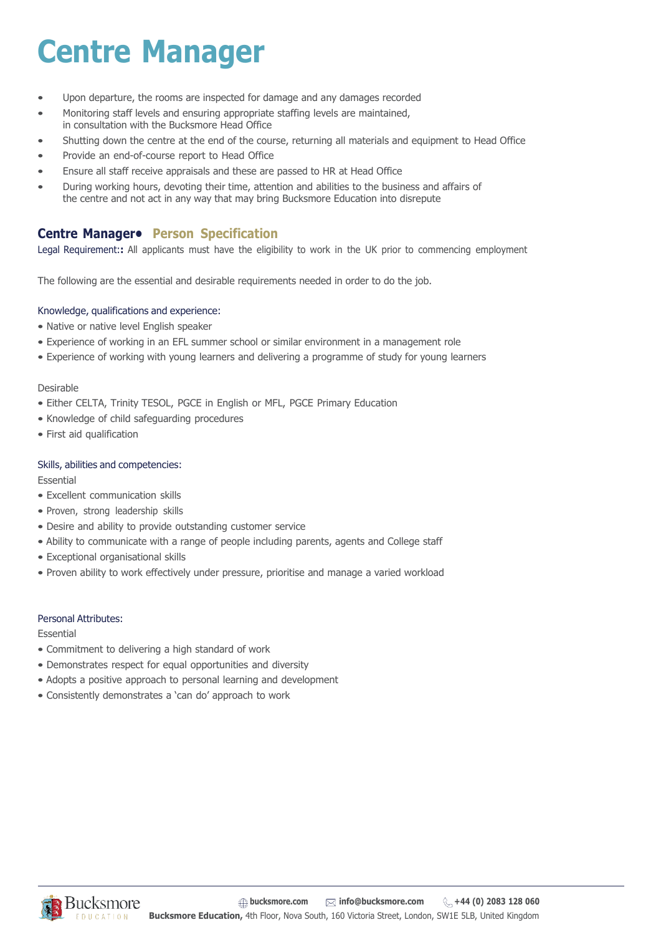# **Centre Manager**

- Upon departure, the rooms are inspected for damage and any damages recorded
- Monitoring staff levels and ensuring appropriate staffing levels are maintained, in consultation with the Bucksmore Head Office
- Shutting down the centre at the end of the course, returning all materials and equipment to Head Office
- Provide an end-of-course report to Head Office
- Ensure all staff receive appraisals and these are passed to HR at Head Office
- During working hours, devoting their time, attention and abilities to the business and affairs of the centre and not act in any way that may bring Bucksmore Education into disrepute

## **Centre Manager• Person Specification**

Legal Requirement:**:** All applicants must have the eligibility to work in the UK prior to commencing employment

The following are the essential and desirable requirements needed in order to do the job.

### Knowledge, qualifications and experience:

- Native or native level English speaker
- Experience of working in an EFL summer school or similar environment in a management role
- Experience of working with young learners and delivering a programme of study for young learners

### Desirable

- Either CELTA, Trinity TESOL, PGCE in English or MFL, PGCE Primary Education
- Knowledge of child safeguarding procedures
- First aid qualification

### Skills, abilities and competencies:

Essential

- Excellent communication skills
- Proven, strong leadership skills
- Desire and ability to provide outstanding customer service
- Ability to communicate with a range of people including parents, agents and College staff
- Exceptional organisational skills
- Proven ability to work effectively under pressure, prioritise and manage a varied workload

### Personal Attributes:

### Essential

- Commitment to delivering a high standard of work
- Demonstrates respect for equal opportunities and diversity
- Adopts a positive approach to personal learning and development
- Consistently demonstrates a 'can do' approach to work